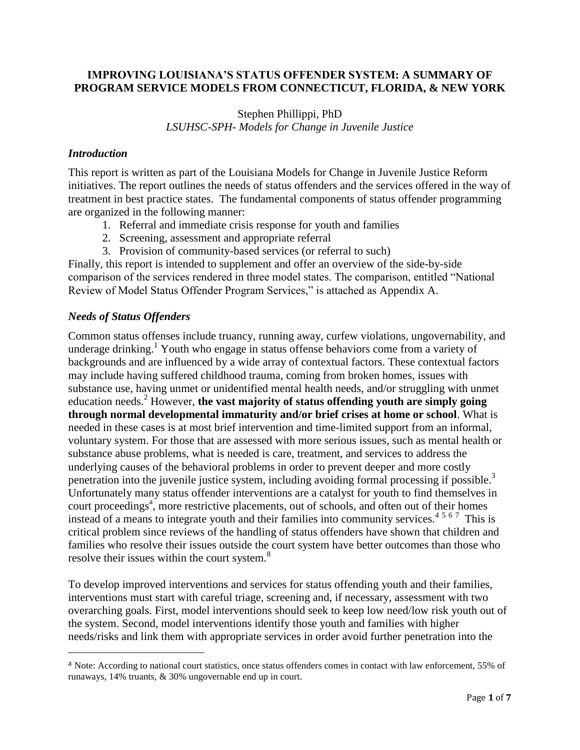## **IMPROVING LOUISIANA'S STATUS OFFENDER SYSTEM: A SUMMARY OF PROGRAM SERVICE MODELS FROM CONNECTICUT, FLORIDA, & NEW YORK**

Stephen Phillippi, PhD *LSUHSC-SPH- Models for Change in Juvenile Justice*

### *Introduction*

This report is written as part of the Louisiana Models for Change in Juvenile Justice Reform initiatives. The report outlines the needs of status offenders and the services offered in the way of treatment in best practice states. The fundamental components of status offender programming are organized in the following manner:

- 1. Referral and immediate crisis response for youth and families
- 2. Screening, assessment and appropriate referral
- 3. Provision of community-based services (or referral to such)

Finally, this report is intended to supplement and offer an overview of the side-by-side comparison of the services rendered in three model states. The comparison, entitled "National Review of Model Status Offender Program Services," is attached as Appendix A.

### *Needs of Status Offenders*

 $\overline{a}$ 

Common status offenses include truancy, running away, curfew violations, ungovernability, and underage drinking.<sup>1</sup> Youth who engage in status offense behaviors come from a variety of backgrounds and are influenced by a wide array of contextual factors. These contextual factors may include having suffered childhood trauma, coming from broken homes, issues with substance use, having unmet or unidentified mental health needs, and/or struggling with unmet education needs.<sup>2</sup> However, **the vast majority of status offending youth are simply going through normal developmental immaturity and/or brief crises at home or school**. What is needed in these cases is at most brief intervention and time-limited support from an informal, voluntary system. For those that are assessed with more serious issues, such as mental health or substance abuse problems, what is needed is care, treatment, and services to address the underlying causes of the behavioral problems in order to prevent deeper and more costly penetration into the juvenile justice system, including avoiding formal processing if possible.<sup>3</sup> Unfortunately many status offender interventions are a catalyst for youth to find themselves in court proceedings<sup>a</sup>, more restrictive placements, out of schools, and often out of their homes instead of a means to integrate youth and their families into community services.<sup>4567</sup> This is critical problem since reviews of the handling of status offenders have shown that children and families who resolve their issues outside the court system have better outcomes than those who resolve their issues within the court system.<sup>8</sup>

To develop improved interventions and services for status offending youth and their families, interventions must start with careful triage, screening and, if necessary, assessment with two overarching goals. First, model interventions should seek to keep low need/low risk youth out of the system. Second, model interventions identify those youth and families with higher needs/risks and link them with appropriate services in order avoid further penetration into the

a Note: According to national court statistics, once status offenders comes in contact with law enforcement, 55% of runaways, 14% truants, & 30% ungovernable end up in court.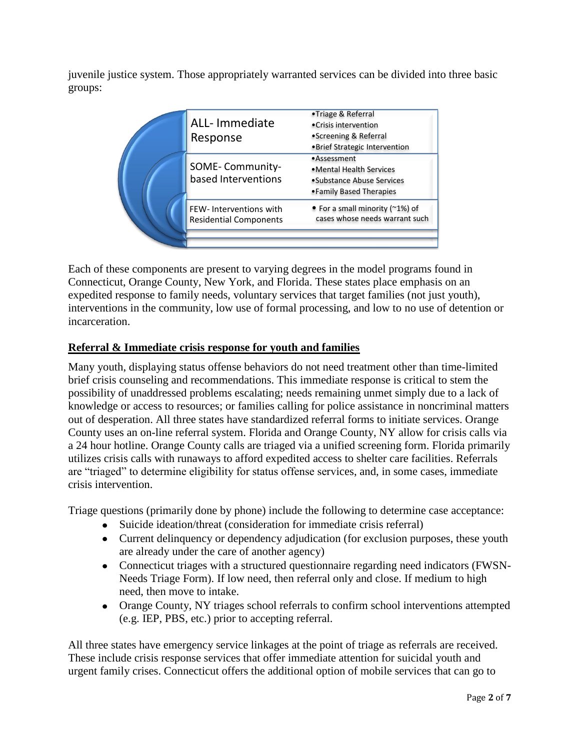juvenile justice system. Those appropriately warranted services can be divided into three basic groups:

|  | ALL- Immediate<br>Response                              | •Triage & Referral<br>• Crisis intervention<br>• Screening & Referral<br>. Brief Strategic Intervention |
|--|---------------------------------------------------------|---------------------------------------------------------------------------------------------------------|
|  | SOME-Community-<br>based Interventions                  | •Assessment<br>• Mental Health Services<br>•Substance Abuse Services<br>• Family Based Therapies        |
|  | FEW-Interventions with<br><b>Residential Components</b> | • For a small minority ( $\approx$ 1%) of<br>cases whose needs warrant such                             |

Each of these components are present to varying degrees in the model programs found in Connecticut, Orange County, New York, and Florida. These states place emphasis on an expedited response to family needs, voluntary services that target families (not just youth), interventions in the community, low use of formal processing, and low to no use of detention or incarceration.

# **Referral & Immediate crisis response for youth and families**

Many youth, displaying status offense behaviors do not need treatment other than time-limited brief crisis counseling and recommendations. This immediate response is critical to stem the possibility of unaddressed problems escalating; needs remaining unmet simply due to a lack of knowledge or access to resources; or families calling for police assistance in noncriminal matters out of desperation. All three states have standardized referral forms to initiate services. Orange County uses an on-line referral system. Florida and Orange County, NY allow for crisis calls via a 24 hour hotline. Orange County calls are triaged via a unified screening form. Florida primarily utilizes crisis calls with runaways to afford expedited access to shelter care facilities. Referrals are "triaged" to determine eligibility for status offense services, and, in some cases, immediate crisis intervention.

Triage questions (primarily done by phone) include the following to determine case acceptance:

- Suicide ideation/threat (consideration for immediate crisis referral)
- Current delinquency or dependency adjudication (for exclusion purposes, these youth are already under the care of another agency)
- Connecticut triages with a structured questionnaire regarding need indicators (FWSN-Needs Triage Form). If low need, then referral only and close. If medium to high need, then move to intake.
- Orange County, NY triages school referrals to confirm school interventions attempted (e.g. IEP, PBS, etc.) prior to accepting referral.

All three states have emergency service linkages at the point of triage as referrals are received. These include crisis response services that offer immediate attention for suicidal youth and urgent family crises. Connecticut offers the additional option of mobile services that can go to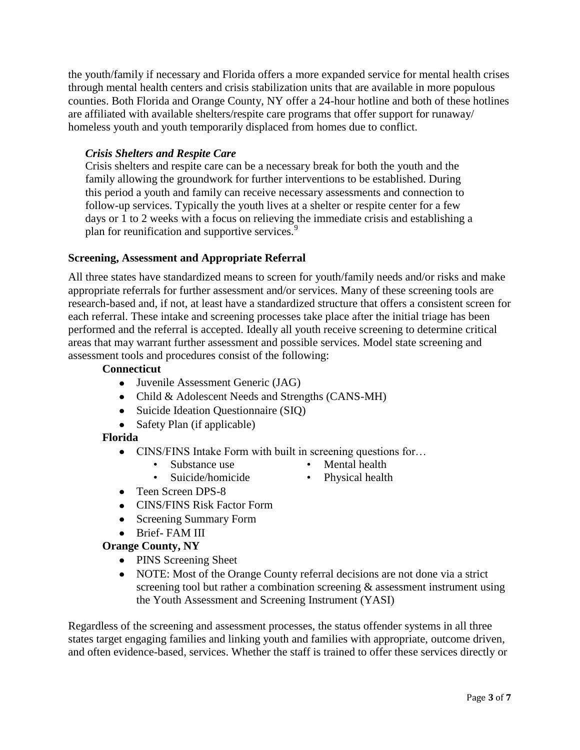the youth/family if necessary and Florida offers a more expanded service for mental health crises through mental health centers and crisis stabilization units that are available in more populous counties. Both Florida and Orange County, NY offer a 24-hour hotline and both of these hotlines are affiliated with available shelters/respite care programs that offer support for runaway/ homeless youth and youth temporarily displaced from homes due to conflict.

# *Crisis Shelters and Respite Care*

Crisis shelters and respite care can be a necessary break for both the youth and the family allowing the groundwork for further interventions to be established. During this period a youth and family can receive necessary assessments and connection to follow-up services. Typically the youth lives at a shelter or respite center for a few days or 1 to 2 weeks with a focus on relieving the immediate crisis and establishing a plan for reunification and supportive services.<sup>9</sup>

### **Screening, Assessment and Appropriate Referral**

All three states have standardized means to screen for youth/family needs and/or risks and make appropriate referrals for further assessment and/or services. Many of these screening tools are research-based and, if not, at least have a standardized structure that offers a consistent screen for each referral. These intake and screening processes take place after the initial triage has been performed and the referral is accepted. Ideally all youth receive screening to determine critical areas that may warrant further assessment and possible services. Model state screening and assessment tools and procedures consist of the following:

#### **Connecticut**

- Juvenile Assessment Generic (JAG)
- Child & Adolescent Needs and Strengths (CANS-MH)
- Suicide Ideation Questionnaire (SIQ)
- Safety Plan (if applicable)

#### **Florida**

- CINS/FINS Intake Form with built in screening questions for...
	- Substance use
- Mental health
- Suicide/homicide
- Physical health
- Teen Screen DPS-8
- CINS/FINS Risk Factor Form
- Screening Summary Form
- Brief- FAM III

#### **Orange County, NY**

- PINS Screening Sheet
- NOTE: Most of the Orange County referral decisions are not done via a strict screening tool but rather a combination screening & assessment instrument using the Youth Assessment and Screening Instrument (YASI)

Regardless of the screening and assessment processes, the status offender systems in all three states target engaging families and linking youth and families with appropriate, outcome driven, and often evidence-based, services. Whether the staff is trained to offer these services directly or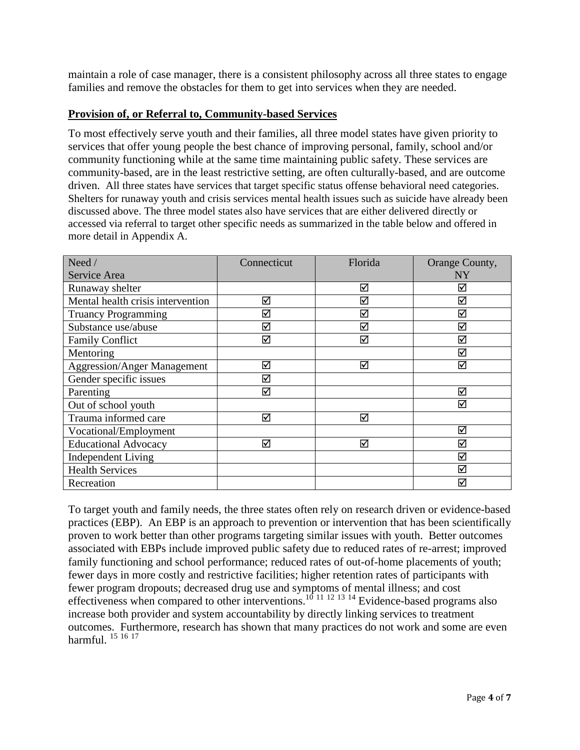maintain a role of case manager, there is a consistent philosophy across all three states to engage families and remove the obstacles for them to get into services when they are needed.

# **Provision of, or Referral to, Community-based Services**

To most effectively serve youth and their families, all three model states have given priority to services that offer young people the best chance of improving personal, family, school and/or community functioning while at the same time maintaining public safety. These services are community-based, are in the least restrictive setting, are often culturally-based, and are outcome driven. All three states have services that target specific status offense behavioral need categories. Shelters for runaway youth and crisis services mental health issues such as suicide have already been discussed above. The three model states also have services that are either delivered directly or accessed via referral to target other specific needs as summarized in the table below and offered in more detail in Appendix A.

| Need /                             | Connecticut | Florida | Orange County,       |
|------------------------------------|-------------|---------|----------------------|
| Service Area                       |             |         | NY                   |
| Runaway shelter                    |             | ☑       | ⊻                    |
| Mental health crisis intervention  | ☑           | ☑       | $\blacktriangledown$ |
| <b>Truancy Programming</b>         | ☑           | ☑       | ☑                    |
| Substance use/abuse                | ☑           | ☑       | ⊻                    |
| <b>Family Conflict</b>             | ☑           | ☑       | $\blacktriangledown$ |
| Mentoring                          |             |         | $\blacktriangledown$ |
| <b>Aggression/Anger Management</b> | ☑           | ☑       | ⊻                    |
| Gender specific issues             | ☑           |         |                      |
| Parenting                          | ☑           |         | ☑                    |
| Out of school youth                |             |         | $\blacktriangledown$ |
| Trauma informed care               | ☑           | ☑       |                      |
| Vocational/Employment              |             |         | ☑                    |
| <b>Educational Advocacy</b>        | ☑           | ☑       | ⊻                    |
| <b>Independent Living</b>          |             |         | ☑                    |
| <b>Health Services</b>             |             |         | ☑                    |
| Recreation                         |             |         | $\blacktriangledown$ |

To target youth and family needs, the three states often rely on research driven or evidence-based practices (EBP). An EBP is an approach to prevention or intervention that has been scientifically proven to work better than other programs targeting similar issues with youth. Better outcomes associated with EBPs include improved public safety due to reduced rates of re-arrest; improved family functioning and school performance; reduced rates of out-of-home placements of youth; fewer days in more costly and restrictive facilities; higher retention rates of participants with fewer program dropouts; decreased drug use and symptoms of mental illness; and cost effectiveness when compared to other interventions.<sup>10 11 12 13 14</sup> Evidence-based programs also increase both provider and system accountability by directly linking services to treatment outcomes. Furthermore, research has shown that many practices do not work and some are even harmful.  $^{15}$  16 17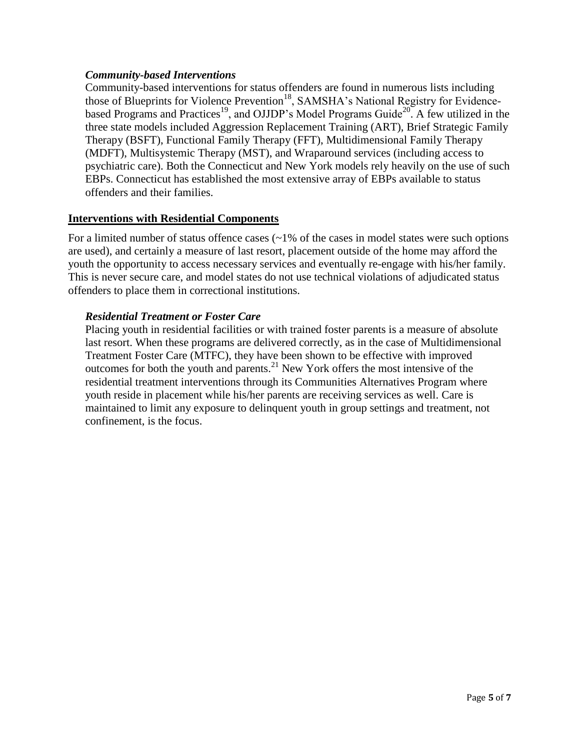## *Community-based Interventions*

Community-based interventions for status offenders are found in numerous lists including those of Blueprints for Violence Prevention<sup>18</sup>, SAMSHA's National Registry for Evidencebased Programs and Practices<sup>19</sup>, and OJJDP's Model Programs Guide<sup>20</sup>. A few utilized in the three state models included Aggression Replacement Training (ART), Brief Strategic Family Therapy (BSFT), Functional Family Therapy (FFT), Multidimensional Family Therapy (MDFT), Multisystemic Therapy (MST), and Wraparound services (including access to psychiatric care). Both the Connecticut and New York models rely heavily on the use of such EBPs. Connecticut has established the most extensive array of EBPs available to status offenders and their families.

## **Interventions with Residential Components**

For a limited number of status offence cases (~1% of the cases in model states were such options are used), and certainly a measure of last resort, placement outside of the home may afford the youth the opportunity to access necessary services and eventually re-engage with his/her family. This is never secure care, and model states do not use technical violations of adjudicated status offenders to place them in correctional institutions.

## *Residential Treatment or Foster Care*

Placing youth in residential facilities or with trained foster parents is a measure of absolute last resort. When these programs are delivered correctly, as in the case of Multidimensional Treatment Foster Care (MTFC), they have been shown to be effective with improved outcomes for both the youth and parents.<sup>21</sup> New York offers the most intensive of the residential treatment interventions through its Communities Alternatives Program where youth reside in placement while his/her parents are receiving services as well. Care is maintained to limit any exposure to delinquent youth in group settings and treatment, not confinement, is the focus.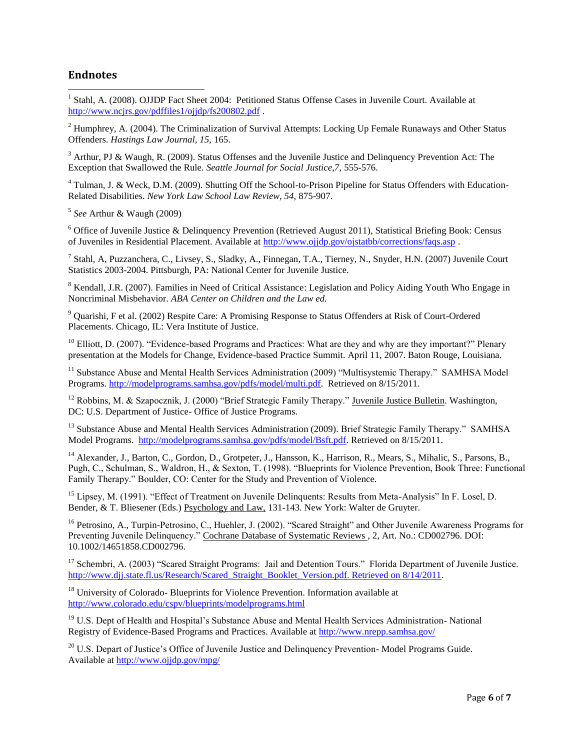### **Endnotes**

 1 Stahl, A. (2008). OJJDP Fact Sheet 2004: Petitioned Status Offense Cases in Juvenile Court. Available at <http://www.ncjrs.gov/pdffiles1/ojjdp/fs200802.pdf> .

<sup>2</sup> Humphrey, A. (2004). The Criminalization of Survival Attempts: Locking Up Female Runaways and Other Status Offenders. *Hastings Law Journal, 15,* 165.

<sup>3</sup> Arthur, PJ & Waugh, R. (2009). Status Offenses and the Juvenile Justice and Delinquency Prevention Act: The Exception that Swallowed the Rule. *Seattle Journal for Social Justice,7,* 555-576.

<sup>4</sup> Tulman, J. & Weck, D.M. (2009). Shutting Off the School-to-Prison Pipeline for Status Offenders with Education-Related Disabilities. *New York Law School Law Review, 54,* 875-907.

5 *See* Arthur & Waugh (2009)

 $6$  Office of Juvenile Justice & Delinquency Prevention (Retrieved August 2011), Statistical Briefing Book: Census of Juveniles in Residential Placement. Available at<http://www.ojjdp.gov/ojstatbb/corrections/faqs.asp> .

7 Stahl, A, Puzzanchera, C., Livsey, S., Sladky, A., Finnegan, T.A., Tierney, N., Snyder, H.N. (2007) Juvenile Court Statistics 2003-2004. Pittsburgh, PA: National Center for Juvenile Justice.

<sup>8</sup> Kendall, J.R. (2007). Families in Need of Critical Assistance: Legislation and Policy Aiding Youth Who Engage in Noncriminal Misbehavior. *ABA Center on Children and the Law ed.* 

<sup>9</sup> Quarishi, F et al. (2002) Respite Care: A Promising Response to Status Offenders at Risk of Court-Ordered Placements. Chicago, IL: Vera Institute of Justice.

 $10$  Elliott, D. (2007). "Evidence-based Programs and Practices: What are they and why are they important?" Plenary presentation at the Models for Change, Evidence-based Practice Summit. April 11, 2007. Baton Rouge, Louisiana.

<sup>11</sup> Substance Abuse and Mental Health Services Administration (2009) "Multisystemic Therapy." SAMHSA Model Programs. [http://modelprograms.samhsa.gov/pdfs/model/multi.pdf.](http://modelprograms.samhsa.gov/pdfs/model/multi.pdf) Retrieved on 8/15/2011.

<sup>12</sup> Robbins, M. & Szapocznik, J. (2000) "Brief Strategic Family Therapy." Juvenile Justice Bulletin. Washington, DC: U.S. Department of Justice- Office of Justice Programs.

<sup>13</sup> Substance Abuse and Mental Health Services Administration (2009). Brief Strategic Family Therapy." SAMHSA Model Programs. [http://modelprograms.samhsa.gov/pdfs/model/Bsft.pdf.](http://modelprograms.samhsa.gov/pdfs/model/Bsft.pdf) Retrieved on 8/15/2011.

<sup>14</sup> Alexander, J., Barton, C., Gordon, D., Grotpeter, J., Hansson, K., Harrison, R., Mears, S., Mihalic, S., Parsons, B., Pugh, C., Schulman, S., Waldron, H., & Sexton, T. (1998). "Blueprints for Violence Prevention, Book Three: Functional Family Therapy." Boulder, CO: Center for the Study and Prevention of Violence.

<sup>15</sup> Lipsey, M. (1991). "Effect of Treatment on Juvenile Delinquents: Results from Meta-Analysis" In F. Losel, D. Bender, & T. Bliesener (Eds.) Psychology and Law, 131-143. New York: Walter de Gruyter.

<sup>16</sup> Petrosino, A., Turpin-Petrosino, C., Huehler, J. (2002). "Scared Straight" and Other Juvenile Awareness Programs for Preventing Juvenile Delinquency." Cochrane Database of Systematic Reviews , 2, Art. No.: CD002796. DOI: 10.1002/14651858.CD002796.

<sup>17</sup> Schembri, A. (2003) "Scared Straight Programs: Jail and Detention Tours." Florida Department of Juvenile Justice. [http://www.djj.state.fl.us/Research/Scared\\_Straight\\_Booklet\\_Version.pdf. Retrieved on 8/14/2011.](http://www.djj.state.fl.us/Research/Scared_Straight_Booklet_Version.pdf.%20Retrieved%20on%208/14/2011)

<sup>18</sup> University of Colorado- Blueprints for Violence Prevention. Information available at <http://www.colorado.edu/cspv/blueprints/modelprograms.html>

<sup>19</sup> U.S. Dept of Health and Hospital's Substance Abuse and Mental Health Services Administration-National Registry of Evidence-Based Programs and Practices. Available a[t http://www.nrepp.samhsa.gov/](http://www.nrepp.samhsa.gov/)

 $20$  U.S. Depart of Justice's Office of Juvenile Justice and Delinquency Prevention-Model Programs Guide. Available at<http://www.ojjdp.gov/mpg/>